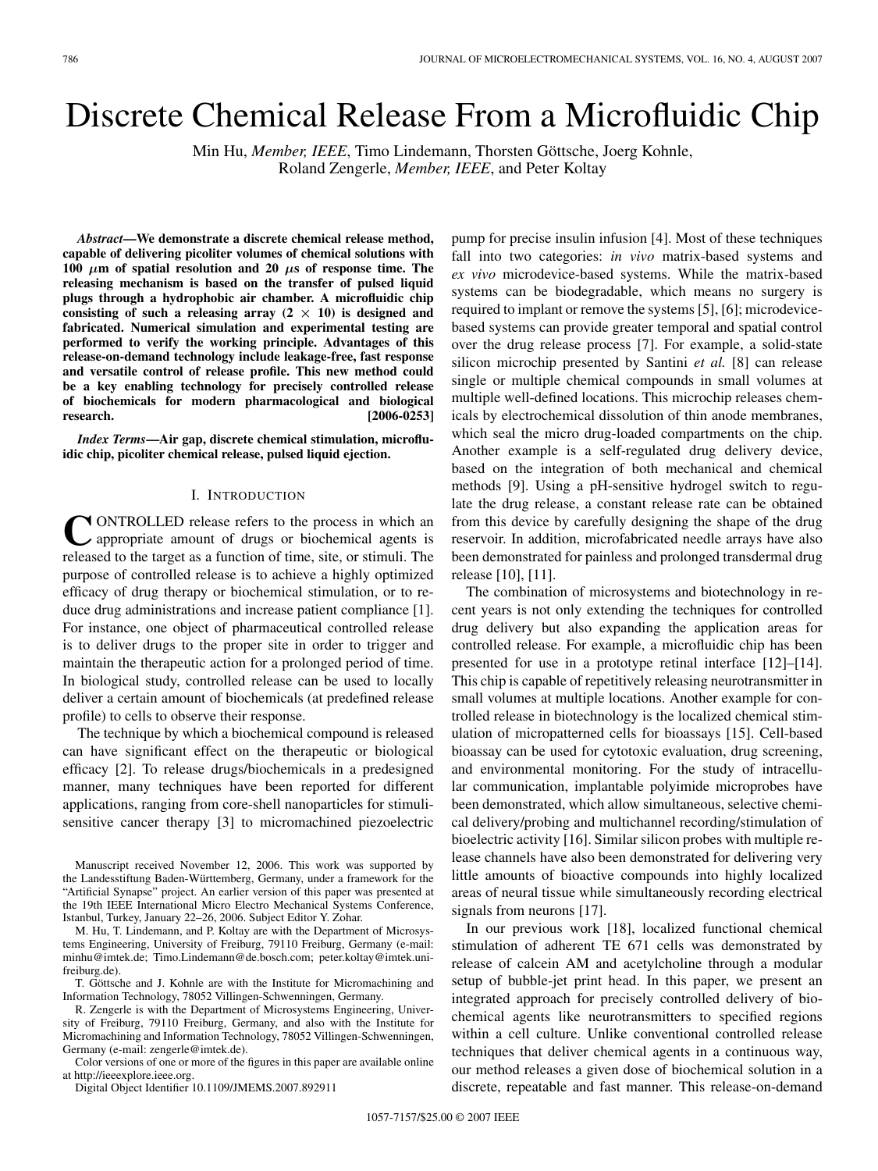# Discrete Chemical Release From a Microfluidic Chip

Min Hu, *Member, IEEE*, Timo Lindemann, Thorsten Göttsche, Joerg Kohnle, Roland Zengerle, *Member, IEEE*, and Peter Koltay

*Abstract***—We demonstrate a discrete chemical release method, capable of delivering picoliter volumes of chemical solutions with 100**  $\mu$ m of spatial resolution and 20  $\mu$ s of response time. The **releasing mechanism is based on the transfer of pulsed liquid plugs through a hydrophobic air chamber. A microfluidic chip** consisting of such a releasing array  $(2 \times 10)$  is designed and **fabricated. Numerical simulation and experimental testing are performed to verify the working principle. Advantages of this release-on-demand technology include leakage-free, fast response and versatile control of release profile. This new method could be a key enabling technology for precisely controlled release of biochemicals for modern pharmacological and biological research. [2006-0253]**

*Index Terms***—Air gap, discrete chemical stimulation, microfluidic chip, picoliter chemical release, pulsed liquid ejection.**

## I. INTRODUCTION

CONTROLLED release refers to the process in which and appropriate amount of drugs or biochemical agents is released to the target as a function of time, site, or stimuli. The purpose of controlled release is to achieve a highly optimized efficacy of drug therapy or biochemical stimulation, or to reduce drug administrations and increase patient compliance [1]. For instance, one object of pharmaceutical controlled release is to deliver drugs to the proper site in order to trigger and maintain the therapeutic action for a prolonged period of time. In biological study, controlled release can be used to locally deliver a certain amount of biochemicals (at predefined release profile) to cells to observe their response.

The technique by which a biochemical compound is released can have significant effect on the therapeutic or biological efficacy [2]. To release drugs/biochemicals in a predesigned manner, many techniques have been reported for different applications, ranging from core-shell nanoparticles for stimulisensitive cancer therapy [3] to micromachined piezoelectric

Manuscript received November 12, 2006. This work was supported by the Landesstiftung Baden-Württemberg, Germany, under a framework for the "Artificial Synapse" project. An earlier version of this paper was presented at the 19th IEEE International Micro Electro Mechanical Systems Conference, Istanbul, Turkey, January 22–26, 2006. Subject Editor Y. Zohar.

M. Hu, T. Lindemann, and P. Koltay are with the Department of Microsystems Engineering, University of Freiburg, 79110 Freiburg, Germany (e-mail: minhu@imtek.de; Timo.Lindemann@de.bosch.com; peter.koltay@imtek.unifreiburg.de).

T. Göttsche and J. Kohnle are with the Institute for Micromachining and Information Technology, 78052 Villingen-Schwenningen, Germany.

R. Zengerle is with the Department of Microsystems Engineering, University of Freiburg, 79110 Freiburg, Germany, and also with the Institute for Micromachining and Information Technology, 78052 Villingen-Schwenningen, Germany (e-mail: zengerle@imtek.de).

Color versions of one or more of the figures in this paper are available online at http://ieeexplore.ieee.org.

Digital Object Identifier 10.1109/JMEMS.2007.892911

pump for precise insulin infusion [4]. Most of these techniques fall into two categories: *in vivo* matrix-based systems and *ex vivo* microdevice-based systems. While the matrix-based systems can be biodegradable, which means no surgery is required to implant or remove the systems [5], [6]; microdevicebased systems can provide greater temporal and spatial control over the drug release process [7]. For example, a solid-state silicon microchip presented by Santini *et al.* [8] can release single or multiple chemical compounds in small volumes at multiple well-defined locations. This microchip releases chemicals by electrochemical dissolution of thin anode membranes, which seal the micro drug-loaded compartments on the chip. Another example is a self-regulated drug delivery device, based on the integration of both mechanical and chemical methods [9]. Using a pH-sensitive hydrogel switch to regulate the drug release, a constant release rate can be obtained from this device by carefully designing the shape of the drug reservoir. In addition, microfabricated needle arrays have also been demonstrated for painless and prolonged transdermal drug release [10], [11].

The combination of microsystems and biotechnology in recent years is not only extending the techniques for controlled drug delivery but also expanding the application areas for controlled release. For example, a microfluidic chip has been presented for use in a prototype retinal interface [12]–[14]. This chip is capable of repetitively releasing neurotransmitter in small volumes at multiple locations. Another example for controlled release in biotechnology is the localized chemical stimulation of micropatterned cells for bioassays [15]. Cell-based bioassay can be used for cytotoxic evaluation, drug screening, and environmental monitoring. For the study of intracellular communication, implantable polyimide microprobes have been demonstrated, which allow simultaneous, selective chemical delivery/probing and multichannel recording/stimulation of bioelectric activity [16]. Similar silicon probes with multiple release channels have also been demonstrated for delivering very little amounts of bioactive compounds into highly localized areas of neural tissue while simultaneously recording electrical signals from neurons [17].

In our previous work [18], localized functional chemical stimulation of adherent TE 671 cells was demonstrated by release of calcein AM and acetylcholine through a modular setup of bubble-jet print head. In this paper, we present an integrated approach for precisely controlled delivery of biochemical agents like neurotransmitters to specified regions within a cell culture. Unlike conventional controlled release techniques that deliver chemical agents in a continuous way, our method releases a given dose of biochemical solution in a discrete, repeatable and fast manner. This release-on-demand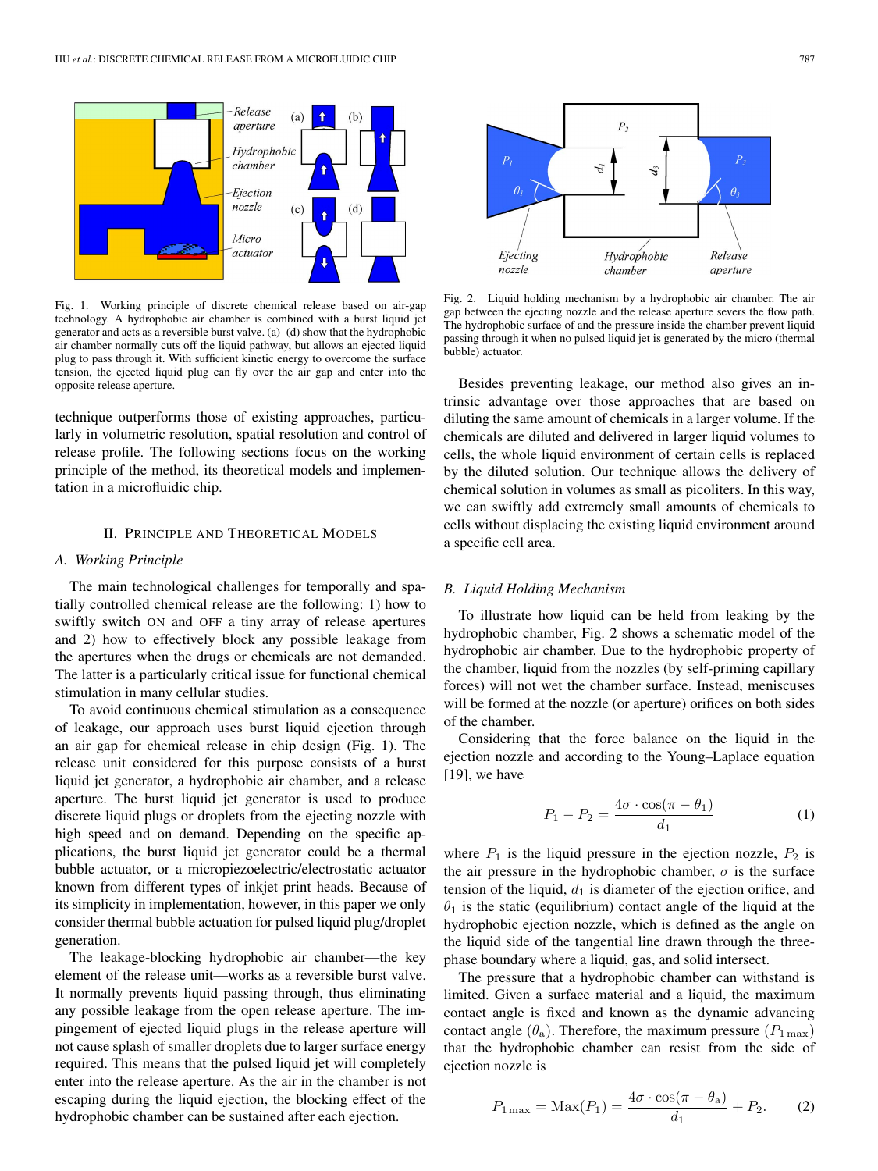

Fig. 1. Working principle of discrete chemical release based on air-gap technology. A hydrophobic air chamber is combined with a burst liquid jet generator and acts as a reversible burst valve. (a)–(d) show that the hydrophobic air chamber normally cuts off the liquid pathway, but allows an ejected liquid plug to pass through it. With sufficient kinetic energy to overcome the surface tension, the ejected liquid plug can fly over the air gap and enter into the opposite release aperture.

technique outperforms those of existing approaches, particularly in volumetric resolution, spatial resolution and control of release profile. The following sections focus on the working principle of the method, its theoretical models and implementation in a microfluidic chip.

#### II. PRINCIPLE AND THEORETICAL MODELS

# *A. Working Principle*

The main technological challenges for temporally and spatially controlled chemical release are the following: 1) how to swiftly switch ON and OFF a tiny array of release apertures and 2) how to effectively block any possible leakage from the apertures when the drugs or chemicals are not demanded. The latter is a particularly critical issue for functional chemical stimulation in many cellular studies.

To avoid continuous chemical stimulation as a consequence of leakage, our approach uses burst liquid ejection through an air gap for chemical release in chip design (Fig. 1). The release unit considered for this purpose consists of a burst liquid jet generator, a hydrophobic air chamber, and a release aperture. The burst liquid jet generator is used to produce discrete liquid plugs or droplets from the ejecting nozzle with high speed and on demand. Depending on the specific applications, the burst liquid jet generator could be a thermal bubble actuator, or a micropiezoelectric/electrostatic actuator known from different types of inkjet print heads. Because of its simplicity in implementation, however, in this paper we only consider thermal bubble actuation for pulsed liquid plug/droplet generation.

The leakage-blocking hydrophobic air chamber—the key element of the release unit—works as a reversible burst valve. It normally prevents liquid passing through, thus eliminating any possible leakage from the open release aperture. The impingement of ejected liquid plugs in the release aperture will not cause splash of smaller droplets due to larger surface energy required. This means that the pulsed liquid jet will completely enter into the release aperture. As the air in the chamber is not escaping during the liquid ejection, the blocking effect of the hydrophobic chamber can be sustained after each ejection.



Fig. 2. Liquid holding mechanism by a hydrophobic air chamber. The air gap between the ejecting nozzle and the release aperture severs the flow path. The hydrophobic surface of and the pressure inside the chamber prevent liquid passing through it when no pulsed liquid jet is generated by the micro (thermal bubble) actuator.

Besides preventing leakage, our method also gives an intrinsic advantage over those approaches that are based on diluting the same amount of chemicals in a larger volume. If the chemicals are diluted and delivered in larger liquid volumes to cells, the whole liquid environment of certain cells is replaced by the diluted solution. Our technique allows the delivery of chemical solution in volumes as small as picoliters. In this way, we can swiftly add extremely small amounts of chemicals to cells without displacing the existing liquid environment around a specific cell area.

#### *B. Liquid Holding Mechanism*

To illustrate how liquid can be held from leaking by the hydrophobic chamber, Fig. 2 shows a schematic model of the hydrophobic air chamber. Due to the hydrophobic property of the chamber, liquid from the nozzles (by self-priming capillary forces) will not wet the chamber surface. Instead, meniscuses will be formed at the nozzle (or aperture) orifices on both sides of the chamber.

Considering that the force balance on the liquid in the ejection nozzle and according to the Young–Laplace equation  $[19]$ , we have

$$
P_1 - P_2 = \frac{4\sigma \cdot \cos(\pi - \theta_1)}{d_1} \tag{1}
$$

where  $P_1$  is the liquid pressure in the ejection nozzle,  $P_2$  is the air pressure in the hydrophobic chamber,  $\sigma$  is the surface tension of the liquid,  $d_1$  is diameter of the ejection orifice, and  $\theta_1$  is the static (equilibrium) contact angle of the liquid at the hydrophobic ejection nozzle, which is defined as the angle on the liquid side of the tangential line drawn through the threephase boundary where a liquid, gas, and solid intersect.

The pressure that a hydrophobic chamber can withstand is limited. Given a surface material and a liquid, the maximum contact angle is fixed and known as the dynamic advancing contact angle  $(\theta_a)$ . Therefore, the maximum pressure  $(P_{1\max})$ that the hydrophobic chamber can resist from the side of ejection nozzle is

$$
P_{1\max} = \text{Max}(P_1) = \frac{4\sigma \cdot \cos(\pi - \theta_a)}{d_1} + P_2.
$$
 (2)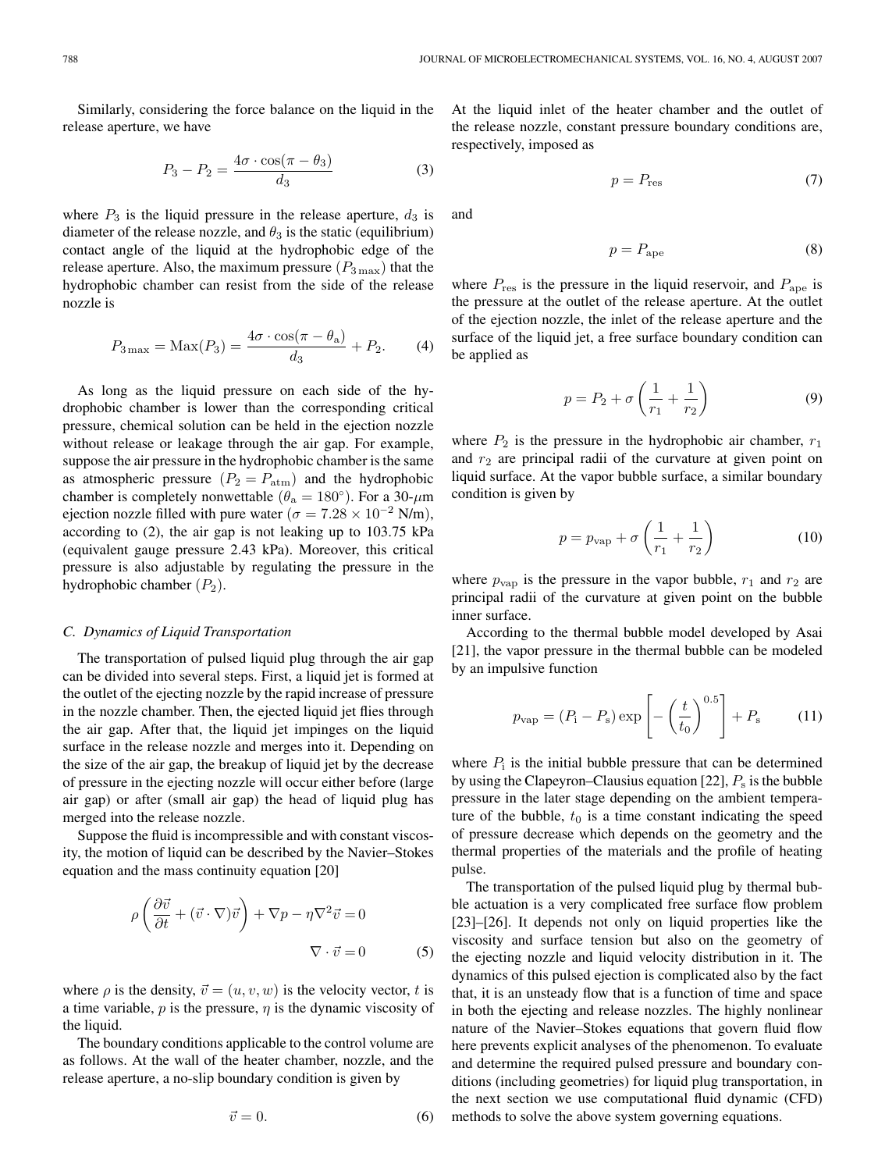Similarly, considering the force balance on the liquid in the release aperture, we have

$$
P_3 - P_2 = \frac{4\sigma \cdot \cos(\pi - \theta_3)}{d_3} \tag{3}
$$

where  $P_3$  is the liquid pressure in the release aperture,  $d_3$  is diameter of the release nozzle, and  $\theta_3$  is the static (equilibrium) contact angle of the liquid at the hydrophobic edge of the release aperture. Also, the maximum pressure  $(P_{3\max})$  that the hydrophobic chamber can resist from the side of the release nozzle is

$$
P_{3\max} = \text{Max}(P_3) = \frac{4\sigma \cdot \cos(\pi - \theta_a)}{d_3} + P_2.
$$
 (4)

As long as the liquid pressure on each side of the hydrophobic chamber is lower than the corresponding critical pressure, chemical solution can be held in the ejection nozzle without release or leakage through the air gap. For example, suppose the air pressure in the hydrophobic chamber is the same as atmospheric pressure  $(P_2 = P_{\text{atm}})$  and the hydrophobic chamber is completely nonwettable ( $\theta_a = 180^\circ$ ). For a 30- $\mu$ m ejection nozzle filled with pure water ( $\sigma = 7.28 \times 10^{-2}$  N/m), according to (2), the air gap is not leaking up to 103.75 kPa (equivalent gauge pressure 2.43 kPa). Moreover, this critical pressure is also adjustable by regulating the pressure in the hydrophobic chamber  $(P_2)$ .

#### *C. Dynamicsof Liquid Transportation*

The transportation of pulsed liquid plug through the air gap can be divided into several steps. First, a liquid jet is formed at the outlet of the ejecting nozzle by the rapid increase of pressure in the nozzle chamber. Then, the ejected liquid jet flies through the air gap. After that, the liquid jet impinges on the liquid surface in the release nozzle and merges into it. Depending on the size of the air gap, the breakup of liquid jet by the decrease of pressure in the ejecting nozzle will occur either before (large air gap) or after (small air gap) the head of liquid plug has merged into the release nozzle.

Suppose the fluid is incompressible and with constant viscosity, the motion of liquid can be described by the Navier–Stokes equation and the mass continuity equation [20]

$$
\rho \left( \frac{\partial \vec{v}}{\partial t} + (\vec{v} \cdot \nabla) \vec{v} \right) + \nabla p - \eta \nabla^2 \vec{v} = 0
$$
  

$$
\nabla \cdot \vec{v} = 0
$$
 (5)

where  $\rho$  is the density,  $\vec{v} = (u, v, w)$  is the velocity vector, t is a time variable,  $p$  is the pressure,  $\eta$  is the dynamic viscosity of the liquid.

The boundary conditions applicable to the control volume are as follows. At the wall of the heater chamber, nozzle, and the release aperture, a no-slip boundary condition is given by

$$
\vec{v} = 0.\tag{6}
$$

At the liquid inlet of the heater chamber and the outlet of the release nozzle, constant pressure boundary conditions are, respectively, imposed as

$$
p = P_{\text{res}} \tag{7}
$$

and

$$
p = P_{\text{ape}} \tag{8}
$$

where  $P_{\text{res}}$  is the pressure in the liquid reservoir, and  $P_{\text{ape}}$  is the pressure at the outlet of the release aperture. At the outlet of the ejection nozzle, the inlet of the release aperture and the surface of the liquid jet, a free surface boundary condition can be applied as

$$
p = P_2 + \sigma \left(\frac{1}{r_1} + \frac{1}{r_2}\right) \tag{9}
$$

where  $P_2$  is the pressure in the hydrophobic air chamber,  $r_1$ and  $r_2$  are principal radii of the curvature at given point on liquid surface. At the vapor bubble surface, a similar boundary condition is given by

$$
p = p_{\text{vap}} + \sigma \left(\frac{1}{r_1} + \frac{1}{r_2}\right) \tag{10}
$$

where  $p_{\text{vap}}$  is the pressure in the vapor bubble,  $r_1$  and  $r_2$  are principal radii of the curvature at given point on the bubble inner surface.

According to the thermal bubble model developed by Asai [21], the vapor pressure in the thermal bubble can be modeled by an impulsive function

$$
p_{\rm vap} = (P_{\rm i} - P_{\rm s}) \exp\left[-\left(\frac{t}{t_0}\right)^{0.5}\right] + P_{\rm s} \tag{11}
$$

where  $P_i$  is the initial bubble pressure that can be determined by using the Clapeyron–Clausius equation [22],  $P_s$  is the bubble pressure in the later stage depending on the ambient temperature of the bubble,  $t_0$  is a time constant indicating the speed of pressure decrease which depends on the geometry and the thermal properties of the materials and the profile of heating pulse.

The transportation of the pulsed liquid plug by thermal bubble actuation is a very complicated free surface flow problem [23]–[26]. It depends not only on liquid properties like the viscosity and surface tension but also on the geometry of the ejecting nozzle and liquid velocity distribution in it. The dynamics of this pulsed ejection is complicated also by the fact that, it is an unsteady flow that is a function of time and space in both the ejecting and release nozzles. The highly nonlinear nature of the Navier–Stokes equations that govern fluid flow here prevents explicit analyses of the phenomenon. To evaluate and determine the required pulsed pressure and boundary conditions (including geometries) for liquid plug transportation, in the next section we use computational fluid dynamic (CFD) methods to solve the above system governing equations.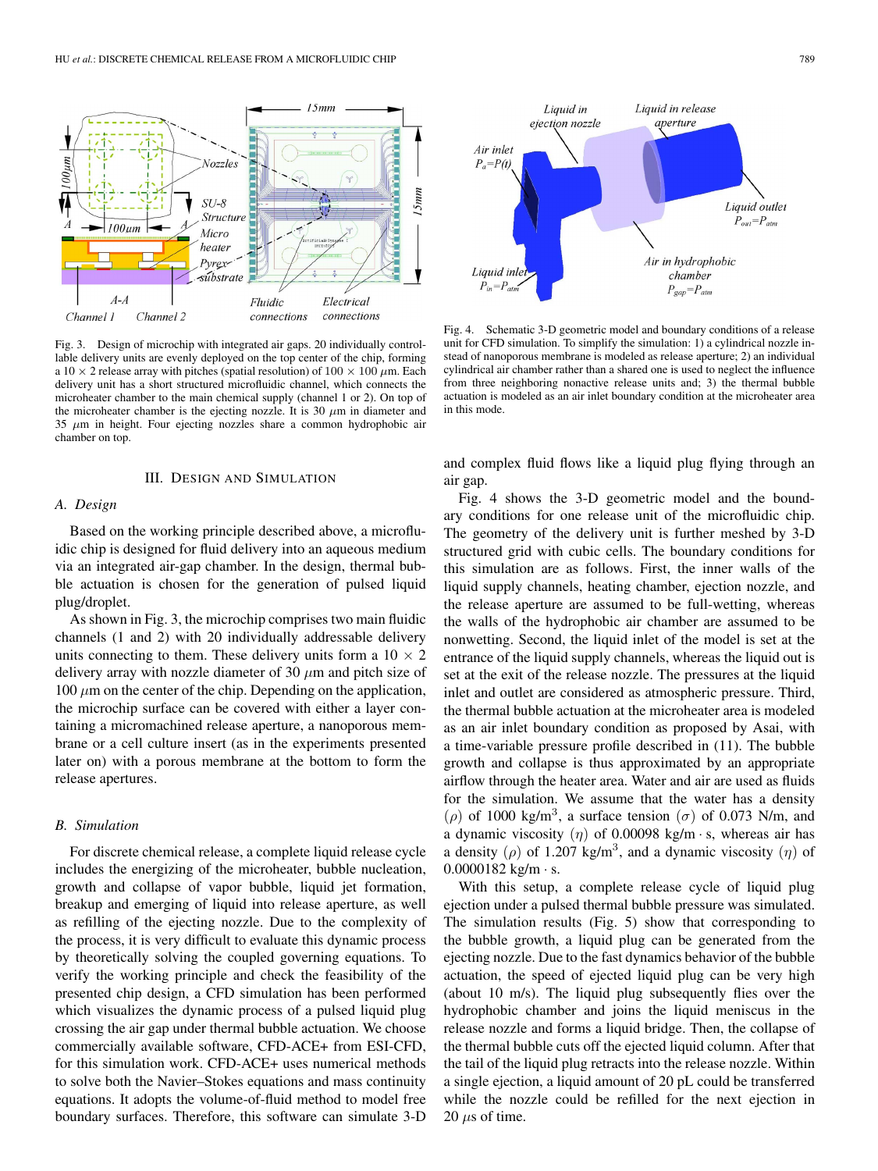

Fig. 3. Design of microchip with integrated air gaps. 20 individually controllable delivery units are evenly deployed on the top center of the chip, forming a 10  $\times$  2 release array with pitches (spatial resolution) of 100  $\times$  100  $\mu$ m. Each delivery unit has a short structured microfluidic channel, which connects the microheater chamber to the main chemical supply (channel 1 or 2). On top of the microheater chamber is the ejecting nozzle. It is 30  $\mu$ m in diameter and  $35 \mu m$  in height. Four ejecting nozzles share a common hydrophobic air chamber on top.

#### III. DESIGN AND SIMULATION

#### *A. Design*

Based on the working principle described above, a microfluidic chip is designed for fluid delivery into an aqueous medium via an integrated air-gap chamber. In the design, thermal bubble actuation is chosen for the generation of pulsed liquid plug/droplet.

As shown in Fig. 3, the microchip comprises two main fluidic channels (1 and 2) with 20 individually addressable delivery units connecting to them. These delivery units form a  $10 \times 2$ delivery array with nozzle diameter of 30  $\mu$ m and pitch size of  $100 \mu m$  on the center of the chip. Depending on the application, the microchip surface can be covered with either a layer containing a micromachined release aperture, a nanoporous membrane or a cell culture insert (as in the experiments presented later on) with a porous membrane at the bottom to form the release apertures.

#### *B. Simulation*

For discrete chemical release, a complete liquid release cycle includes the energizing of the microheater, bubble nucleation, growth and collapse of vapor bubble, liquid jet formation, breakup and emerging of liquid into release aperture, as well as refilling of the ejecting nozzle. Due to the complexity of the process, it is very difficult to evaluate this dynamic process by theoretically solving the coupled governing equations. To verify the working principle and check the feasibility of the presented chip design, a CFD simulation has been performed which visualizes the dynamic process of a pulsed liquid plug crossing the air gap under thermal bubble actuation. We choose commercially available software, CFD-ACE+ from ESI-CFD, for this simulation work. CFD-ACE+ uses numerical methods to solve both the Navier–Stokes equations and mass continuity equations. It adopts the volume-of-fluid method to model free boundary surfaces. Therefore, this software can simulate 3-D



Fig. 4. Schematic 3-D geometric model and boundary conditions of a release unit for CFD simulation. To simplify the simulation: 1) a cylindrical nozzle instead of nanoporous membrane is modeled as release aperture; 2) an individual cylindrical air chamber rather than a shared one is used to neglect the influence from three neighboring nonactive release units and; 3) the thermal bubble actuation is modeled as an air inlet boundary condition at the microheater area in this mode.

and complex fluid flows like a liquid plug flying through an air gap.

Fig. 4 shows the 3-D geometric model and the boundary conditions for one release unit of the microfluidic chip. The geometry of the delivery unit is further meshed by 3-D structured grid with cubic cells. The boundary conditions for this simulation are as follows. First, the inner walls of the liquid supply channels, heating chamber, ejection nozzle, and the release aperture are assumed to be full-wetting, whereas the walls of the hydrophobic air chamber are assumed to be nonwetting. Second, the liquid inlet of the model is set at the entrance of the liquid supply channels, whereas the liquid out is set at the exit of the release nozzle. The pressures at the liquid inlet and outlet are considered as atmospheric pressure. Third, the thermal bubble actuation at the microheater area is modeled as an air inlet boundary condition as proposed by Asai, with a time-variable pressure profile described in (11). The bubble growth and collapse is thus approximated by an appropriate airflow through the heater area. Water and air are used as fluids for the simulation. We assume that the water has a density ( $\rho$ ) of 1000 kg/m<sup>3</sup>, a surface tension ( $\sigma$ ) of 0.073 N/m, and a dynamic viscosity  $(\eta)$  of 0.00098 kg/m · s, whereas air has a density ( $\rho$ ) of 1.207 kg/m<sup>3</sup>, and a dynamic viscosity ( $\eta$ ) of  $0.0000182$  kg/m  $\cdot$  s.

With this setup, a complete release cycle of liquid plug ejection under a pulsed thermal bubble pressure was simulated. The simulation results (Fig. 5) show that corresponding to the bubble growth, a liquid plug can be generated from the ejecting nozzle. Due to the fast dynamics behavior of the bubble actuation, the speed of ejected liquid plug can be very high (about 10 m/s). The liquid plug subsequently flies over the hydrophobic chamber and joins the liquid meniscus in the release nozzle and forms a liquid bridge. Then, the collapse of the thermal bubble cuts off the ejected liquid column. After that the tail of the liquid plug retracts into the release nozzle. Within a single ejection, a liquid amount of 20 pL could be transferred while the nozzle could be refilled for the next ejection in  $20 \mu s$  of time.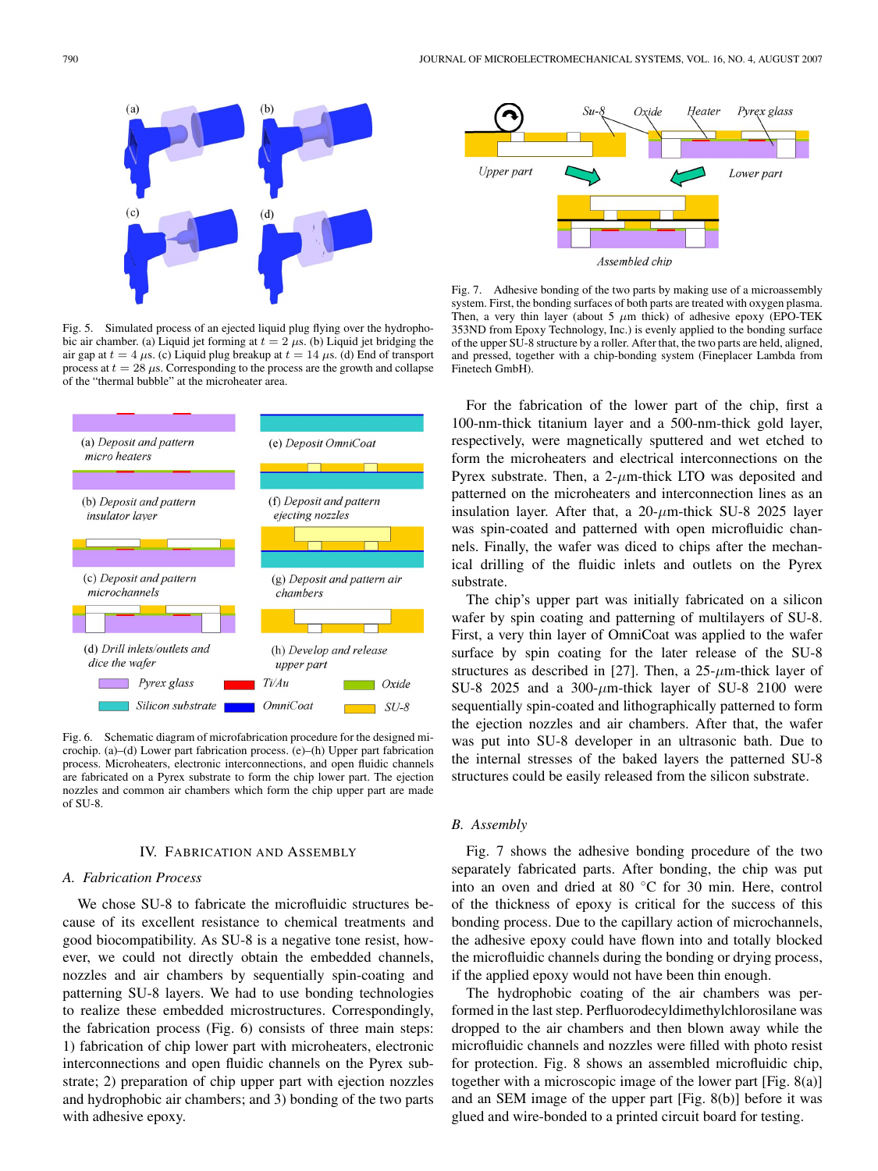

Fig. 5. Simulated process of an ejected liquid plug flying over the hydrophobic air chamber. (a) Liquid jet forming at  $t = 2 \mu s$ . (b) Liquid jet bridging the air gap at  $t = 4 \mu s$ . (c) Liquid plug breakup at  $t = 14 \mu s$ . (d) End of transport process at  $t = 28 \mu s$ . Corresponding to the process are the growth and collapse of the "thermal bubble" at the microheater area.



Fig. 6. Schematic diagram of microfabrication procedure for the designed microchip. (a)–(d) Lower part fabrication process. (e)–(h) Upper part fabrication process. Microheaters, electronic interconnections, and open fluidic channels are fabricated on a Pyrex substrate to form the chip lower part. The ejection nozzles and common air chambers which form the chip upper part are made of SU-8.

#### IV. FABRICATION AND ASSEMBLY

## *A. Fabrication Process*

We chose SU-8 to fabricate the microfluidic structures because of its excellent resistance to chemical treatments and good biocompatibility. As SU-8 is a negative tone resist, however, we could not directly obtain the embedded channels, nozzles and air chambers by sequentially spin-coating and patterning SU-8 layers. We had to use bonding technologies to realize these embedded microstructures. Correspondingly, the fabrication process (Fig. 6) consists of three main steps: 1) fabrication of chip lower part with microheaters, electronic interconnections and open fluidic channels on the Pyrex substrate; 2) preparation of chip upper part with ejection nozzles and hydrophobic air chambers; and 3) bonding of the two parts with adhesive epoxy.



Fig. 7. Adhesive bonding of the two parts by making use of a microassembly system. First, the bonding surfaces of both parts are treated with oxygen plasma. Then, a very thin layer (about 5  $\mu$ m thick) of adhesive epoxy (EPO-TEK 353ND from Epoxy Technology, Inc.) is evenly applied to the bonding surface of the upper SU-8 structure by a roller. After that, the two parts are held, aligned, and pressed, together with a chip-bonding system (Fineplacer Lambda from Finetech GmbH).

For the fabrication of the lower part of the chip, first a 100-nm-thick titanium layer and a 500-nm-thick gold layer, respectively, were magnetically sputtered and wet etched to form the microheaters and electrical interconnections on the Pyrex substrate. Then, a  $2-\mu m$ -thick LTO was deposited and patterned on the microheaters and interconnection lines as an insulation layer. After that, a  $20$ - $\mu$ m-thick SU-8 2025 layer was spin-coated and patterned with open microfluidic channels. Finally, the wafer was diced to chips after the mechanical drilling of the fluidic inlets and outlets on the Pyrex substrate.

The chip's upper part was initially fabricated on a silicon wafer by spin coating and patterning of multilayers of SU-8. First, a very thin layer of OmniCoat was applied to the wafer surface by spin coating for the later release of the SU-8 structures as described in [27]. Then, a  $25-\mu m$ -thick layer of SU-8 2025 and a 300- $\mu$ m-thick layer of SU-8 2100 were sequentially spin-coated and lithographically patterned to form the ejection nozzles and air chambers. After that, the wafer was put into SU-8 developer in an ultrasonic bath. Due to the internal stresses of the baked layers the patterned SU-8 structures could be easily released from the silicon substrate.

#### *B. Assembly*

Fig. 7 shows the adhesive bonding procedure of the two separately fabricated parts. After bonding, the chip was put into an oven and dried at 80 ◦C for 30 min. Here, control of the thickness of epoxy is critical for the success of this bonding process. Due to the capillary action of microchannels, the adhesive epoxy could have flown into and totally blocked the microfluidic channels during the bonding or drying process, if the applied epoxy would not have been thin enough.

The hydrophobic coating of the air chambers was performed in the last step. Perfluorodecyldimethylchlorosilane was dropped to the air chambers and then blown away while the microfluidic channels and nozzles were filled with photo resist for protection. Fig. 8 shows an assembled microfluidic chip, together with a microscopic image of the lower part [Fig. 8(a)] and an SEM image of the upper part [Fig. 8(b)] before it was glued and wire-bonded to a printed circuit board for testing.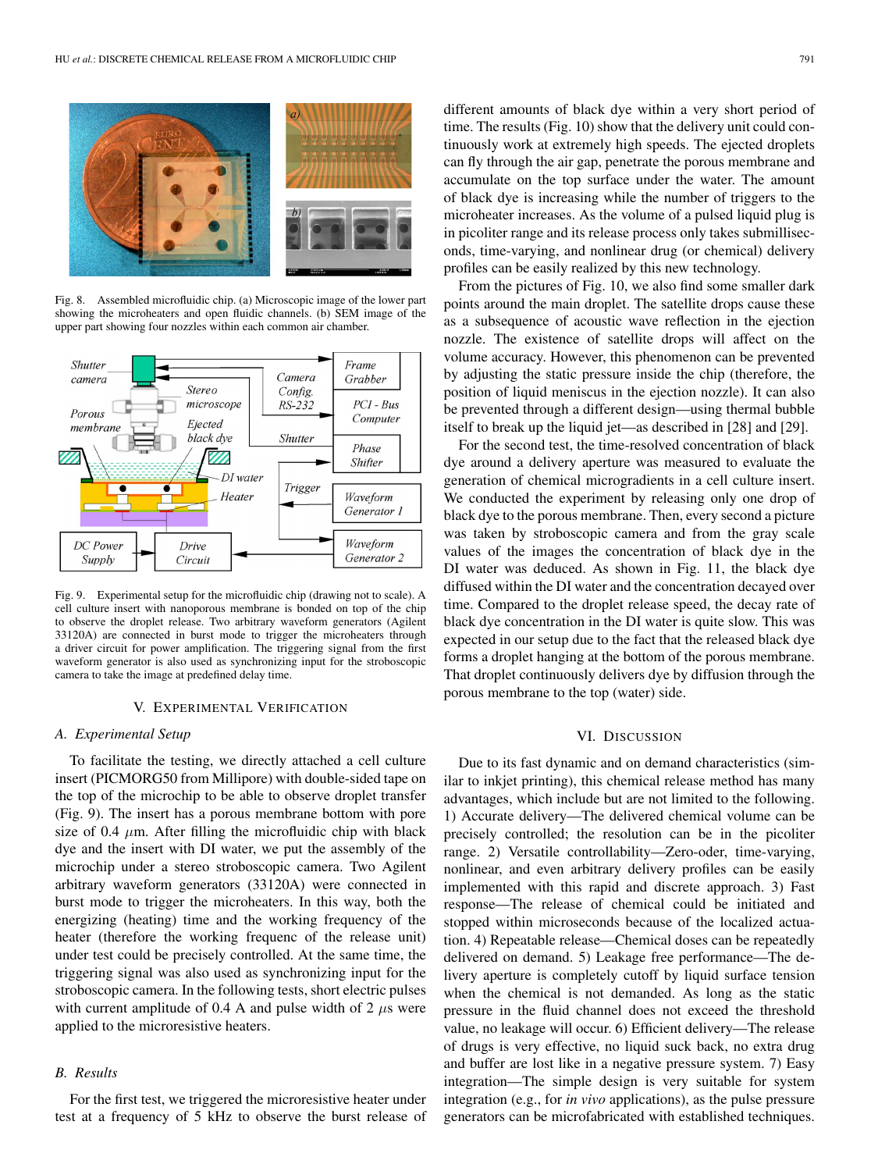

Fig. 8. Assembled microfluidic chip. (a) Microscopic image of the lower part showing the microheaters and open fluidic channels. (b) SEM image of the upper part showing four nozzles within each common air chamber.



Fig. 9. Experimental setup for the microfluidic chip (drawing not to scale). A cell culture insert with nanoporous membrane is bonded on top of the chip to observe the droplet release. Two arbitrary waveform generators (Agilent 33120A) are connected in burst mode to trigger the microheaters through a driver circuit for power amplification. The triggering signal from the first waveform generator is also used as synchronizing input for the stroboscopic camera to take the image at predefined delay time.

## V. EXPERIMENTAL VERIFICATION

#### *A. Experimental Setup*

To facilitate the testing, we directly attached a cell culture insert (PICMORG50 from Millipore) with double-sided tape on the top of the microchip to be able to observe droplet transfer (Fig. 9). The insert has a porous membrane bottom with pore size of 0.4  $\mu$ m. After filling the microfluidic chip with black dye and the insert with DI water, we put the assembly of the microchip under a stereo stroboscopic camera. Two Agilent arbitrary waveform generators (33120A) were connected in burst mode to trigger the microheaters. In this way, both the energizing (heating) time and the working frequency of the heater (therefore the working frequenc of the release unit) under test could be precisely controlled. At the same time, the triggering signal was also used as synchronizing input for the stroboscopic camera. In the following tests, short electric pulses with current amplitude of 0.4 A and pulse width of 2  $\mu$ s were applied to the microresistive heaters.

# *B. Results*

For the first test, we triggered the microresistive heater under test at a frequency of 5 kHz to observe the burst release of different amounts of black dye within a very short period of time. The results (Fig. 10) show that the delivery unit could continuously work at extremely high speeds. The ejected droplets can fly through the air gap, penetrate the porous membrane and accumulate on the top surface under the water. The amount of black dye is increasing while the number of triggers to the microheater increases. As the volume of a pulsed liquid plug is in picoliter range and its release process only takes submilliseconds, time-varying, and nonlinear drug (or chemical) delivery profiles can be easily realized by this new technology.

From the pictures of Fig. 10, we also find some smaller dark points around the main droplet. The satellite drops cause these as a subsequence of acoustic wave reflection in the ejection nozzle. The existence of satellite drops will affect on the volume accuracy. However, this phenomenon can be prevented by adjusting the static pressure inside the chip (therefore, the position of liquid meniscus in the ejection nozzle). It can also be prevented through a different design—using thermal bubble itself to break up the liquid jet—as described in [28] and [29].

For the second test, the time-resolved concentration of black dye around a delivery aperture was measured to evaluate the generation of chemical microgradients in a cell culture insert. We conducted the experiment by releasing only one drop of black dye to the porous membrane. Then, every second a picture was taken by stroboscopic camera and from the gray scale values of the images the concentration of black dye in the DI water was deduced. As shown in Fig. 11, the black dye diffused within the DI water and the concentration decayed over time. Compared to the droplet release speed, the decay rate of black dye concentration in the DI water is quite slow. This was expected in our setup due to the fact that the released black dye forms a droplet hanging at the bottom of the porous membrane. That droplet continuously delivers dye by diffusion through the porous membrane to the top (water) side.

## VI. DISCUSSION

Due to its fast dynamic and on demand characteristics (similar to inkjet printing), this chemical release method has many advantages, which include but are not limited to the following. 1) Accurate delivery—The delivered chemical volume can be precisely controlled; the resolution can be in the picoliter range. 2) Versatile controllability—Zero-oder, time-varying, nonlinear, and even arbitrary delivery profiles can be easily implemented with this rapid and discrete approach. 3) Fast response—The release of chemical could be initiated and stopped within microseconds because of the localized actuation. 4) Repeatable release—Chemical doses can be repeatedly delivered on demand. 5) Leakage free performance—The delivery aperture is completely cutoff by liquid surface tension when the chemical is not demanded. As long as the static pressure in the fluid channel does not exceed the threshold value, no leakage will occur. 6) Efficient delivery—The release of drugs is very effective, no liquid suck back, no extra drug and buffer are lost like in a negative pressure system. 7) Easy integration—The simple design is very suitable for system integration (e.g., for *in vivo* applications), as the pulse pressure generators can be microfabricated with established techniques.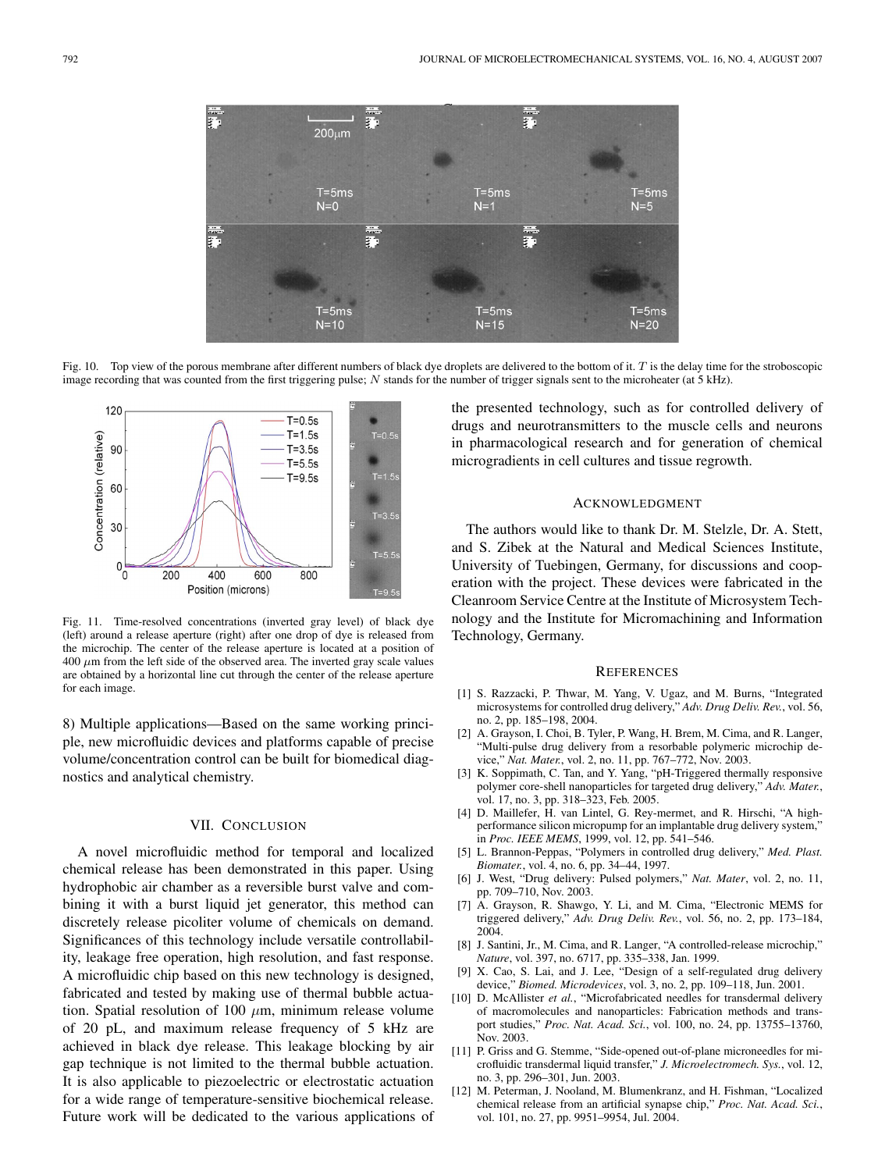

Fig. 10. Top view of the porous membrane after different numbers of black dye droplets are delivered to the bottom of it.  $T$  is the delay time for the stroboscopic image recording that was counted from the first triggering pulse; N stands for the number of trigger signals sent to the microheater (at 5 kHz).



Fig. 11. Time-resolved concentrations (inverted gray level) of black dye (left) around a release aperture (right) after one drop of dye is released from the microchip. The center of the release aperture is located at a position of  $400 \mu m$  from the left side of the observed area. The inverted gray scale values are obtained by a horizontal line cut through the center of the release aperture for each image.

8) Multiple applications—Based on the same working principle, new microfluidic devices and platforms capable of precise volume/concentration control can be built for biomedical diagnostics and analytical chemistry.

## VII. CONCLUSION

A novel microfluidic method for temporal and localized chemical release has been demonstrated in this paper. Using hydrophobic air chamber as a reversible burst valve and combining it with a burst liquid jet generator, this method can discretely release picoliter volume of chemicals on demand. Significances of this technology include versatile controllability, leakage free operation, high resolution, and fast response. A microfluidic chip based on this new technology is designed, fabricated and tested by making use of thermal bubble actuation. Spatial resolution of 100  $\mu$ m, minimum release volume of 20 pL, and maximum release frequency of 5 kHz are achieved in black dye release. This leakage blocking by air gap technique is not limited to the thermal bubble actuation. It is also applicable to piezoelectric or electrostatic actuation for a wide range of temperature-sensitive biochemical release. Future work will be dedicated to the various applications of

the presented technology, such as for controlled delivery of drugs and neurotransmitters to the muscle cells and neurons in pharmacological research and for generation of chemical microgradients in cell cultures and tissue regrowth.

## ACKNOWLEDGMENT

The authors would like to thank Dr. M. Stelzle, Dr. A. Stett, and S. Zibek at the Natural and Medical Sciences Institute, University of Tuebingen, Germany, for discussions and cooperation with the project. These devices were fabricated in the Cleanroom Service Centre at the Institute of Microsystem Technology and the Institute for Micromachining and Information Technology, Germany.

#### **REFERENCES**

- [1] S. Razzacki, P. Thwar, M. Yang, V. Ugaz, and M. Burns, "Integrated microsystems for controlled drug delivery," *Adv. Drug Deliv. Rev.*, vol. 56, no. 2, pp. 185–198, 2004.
- [2] A. Grayson, I. Choi, B. Tyler, P. Wang, H. Brem, M. Cima, and R. Langer, "Multi-pulse drug delivery from a resorbable polymeric microchip device," *Nat. Mater.*, vol. 2, no. 11, pp. 767–772, Nov. 2003.
- [3] K. Soppimath, C. Tan, and Y. Yang, "pH-Triggered thermally responsive polymer core-shell nanoparticles for targeted drug delivery," *Adv. Mater.*, vol. 17, no. 3, pp. 318–323, Feb. 2005.
- [4] D. Maillefer, H. van Lintel, G. Rey-mermet, and R. Hirschi, "A highperformance silicon micropump for an implantable drug delivery system," in *Proc. IEEE MEMS*, 1999, vol. 12, pp. 541–546.
- [5] L. Brannon-Peppas, "Polymers in controlled drug delivery," *Med. Plast. Biomater.*, vol. 4, no. 6, pp. 34–44, 1997.
- [6] J. West, "Drug delivery: Pulsed polymers," *Nat. Mater*, vol. 2, no. 11, pp. 709–710, Nov. 2003.
- [7] A. Grayson, R. Shawgo, Y. Li, and M. Cima, "Electronic MEMS for triggered delivery," *Adv. Drug Deliv. Rev.*, vol. 56, no. 2, pp. 173–184, 2004.
- [8] J. Santini, Jr., M. Cima, and R. Langer, "A controlled-release microchip," *Nature*, vol. 397, no. 6717, pp. 335–338, Jan. 1999.
- [9] X. Cao, S. Lai, and J. Lee, "Design of a self-regulated drug delivery device," *Biomed. Microdevices*, vol. 3, no. 2, pp. 109–118, Jun. 2001.
- [10] D. McAllister et al., "Microfabricated needles for transdermal delivery of macromolecules and nanoparticles: Fabrication methods and transport studies," *Proc. Nat. Acad. Sci.*, vol. 100, no. 24, pp. 13755–13760, Nov. 2003.
- [11] P. Griss and G. Stemme, "Side-opened out-of-plane microneedles for microfluidic transdermal liquid transfer," *J. Microelectromech. Sys.*, vol. 12, no. 3, pp. 296–301, Jun. 2003.
- [12] M. Peterman, J. Nooland, M. Blumenkranz, and H. Fishman, "Localized chemical release from an artificial synapse chip," *Proc. Nat. Acad. Sci.*, vol. 101, no. 27, pp. 9951–9954, Jul. 2004.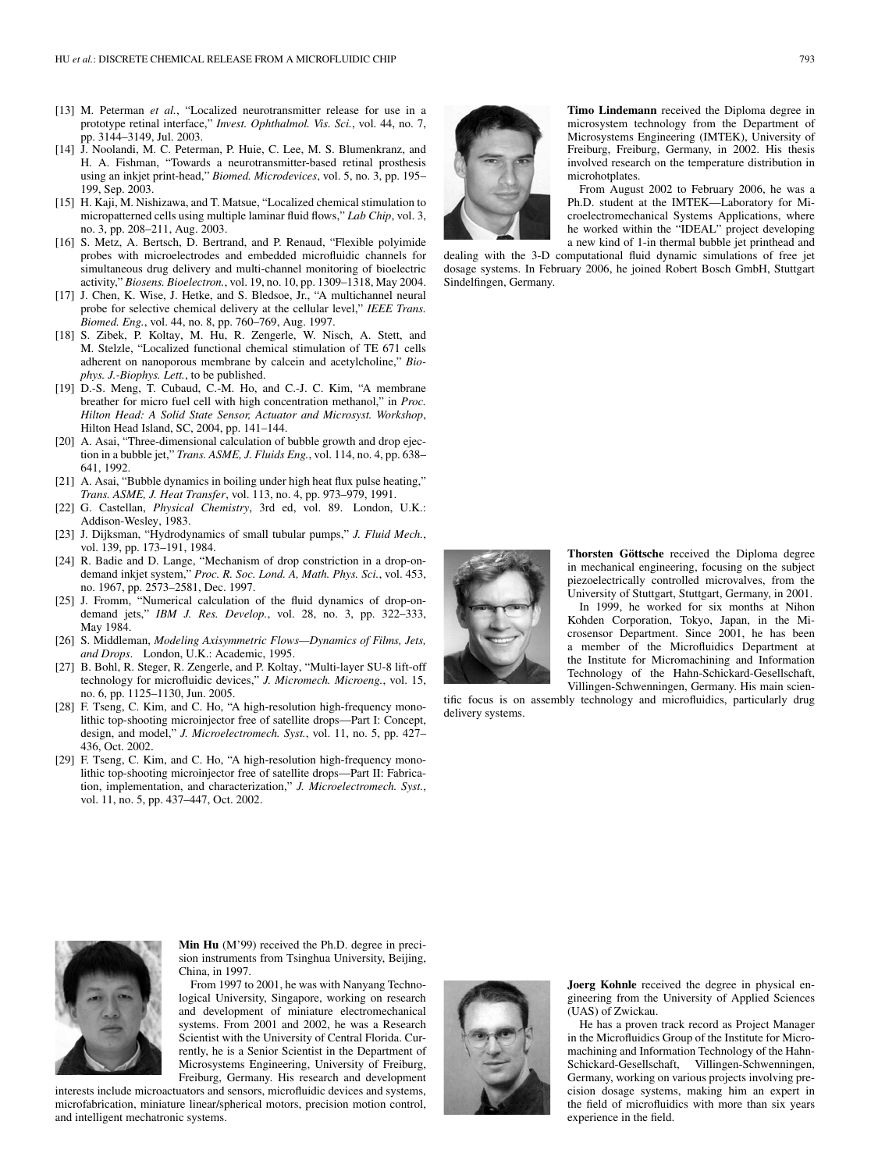- [13] M. Peterman *et al.*, "Localized neurotransmitter release for use in a prototype retinal interface," *Invest. Ophthalmol. Vis. Sci.*, vol. 44, no. 7, pp. 3144–3149, Jul. 2003.
- [14] J. Noolandi, M. C. Peterman, P. Huie, C. Lee, M. S. Blumenkranz, and H. A. Fishman, "Towards a neurotransmitter-based retinal prosthesis using an inkjet print-head," *Biomed. Microdevices*, vol. 5, no. 3, pp. 195– 199, Sep. 2003.
- [15] H. Kaji, M. Nishizawa, and T. Matsue, "Localized chemical stimulation to micropatterned cells using multiple laminar fluid flows," *Lab Chip*, vol. 3, no. 3, pp. 208–211, Aug. 2003.
- [16] S. Metz, A. Bertsch, D. Bertrand, and P. Renaud, "Flexible polyimide probes with microelectrodes and embedded microfluidic channels for simultaneous drug delivery and multi-channel monitoring of bioelectric activity," *Biosens. Bioelectron.*, vol. 19, no. 10, pp. 1309–1318, May 2004.
- [17] J. Chen, K. Wise, J. Hetke, and S. Bledsoe, Jr., "A multichannel neural probe for selective chemical delivery at the cellular level," *IEEE Trans. Biomed. Eng.*, vol. 44, no. 8, pp. 760–769, Aug. 1997.
- [18] S. Zibek, P. Koltay, M. Hu, R. Zengerle, W. Nisch, A. Stett, and M. Stelzle, "Localized functional chemical stimulation of TE 671 cells adherent on nanoporous membrane by calcein and acetylcholine," *Biophys. J.-Biophys. Lett.*, to be published.
- [19] D.-S. Meng, T. Cubaud, C.-M. Ho, and C.-J. C. Kim, "A membrane breather for micro fuel cell with high concentration methanol," in *Proc. Hilton Head: A Solid State Sensor, Actuator and Microsyst. Workshop*, Hilton Head Island, SC, 2004, pp. 141–144.
- [20] A. Asai, "Three-dimensional calculation of bubble growth and drop ejection in a bubble jet," *Trans. ASME, J. Fluids Eng.*, vol. 114, no. 4, pp. 638– 641, 1992.
- [21] A. Asai, "Bubble dynamics in boiling under high heat flux pulse heating," *Trans. ASME, J. Heat Transfer*, vol. 113, no. 4, pp. 973–979, 1991.
- [22] G. Castellan, *Physical Chemistry*, 3rd ed, vol. 89. London, U.K.: Addison-Wesley, 1983.
- [23] J. Dijksman, "Hydrodynamics of small tubular pumps," *J. Fluid Mech.*, vol. 139, pp. 173–191, 1984.
- [24] R. Badie and D. Lange, "Mechanism of drop constriction in a drop-ondemand inkjet system," *Proc. R. Soc. Lond. A, Math. Phys. Sci.*, vol. 453, no. 1967, pp. 2573–2581, Dec. 1997.
- [25] J. Fromm, "Numerical calculation of the fluid dynamics of drop-ondemand jets," *IBM J. Res. Develop.*, vol. 28, no. 3, pp. 322–333, May 1984.
- [26] S. Middleman, *Modeling Axisymmetric Flows—Dynamics of Films, Jets, and Drops*. London, U.K.: Academic, 1995.
- [27] B. Bohl, R. Steger, R. Zengerle, and P. Koltay, "Multi-layer SU-8 lift-off technology for microfluidic devices," *J. Micromech. Microeng.*, vol. 15, no. 6, pp. 1125–1130, Jun. 2005.
- [28] F. Tseng, C. Kim, and C. Ho, "A high-resolution high-frequency monolithic top-shooting microinjector free of satellite drops—Part I: Concept, design, and model," *J. Microelectromech. Syst.*, vol. 11, no. 5, pp. 427– 436, Oct. 2002.
- [29] F. Tseng, C. Kim, and C. Ho, "A high-resolution high-frequency monolithic top-shooting microinjector free of satellite drops—Part II: Fabrication, implementation, and characterization," *J. Microelectromech. Syst.*, vol. 11, no. 5, pp. 437–447, Oct. 2002.



**Timo Lindemann** received the Diploma degree in microsystem technology from the Department of Microsystems Engineering (IMTEK), University of Freiburg, Freiburg, Germany, in 2002. His thesis involved research on the temperature distribution in microhotplates.

From August 2002 to February 2006, he was a Ph.D. student at the IMTEK—Laboratory for Microelectromechanical Systems Applications, where he worked within the "IDEAL" project developing a new kind of 1-in thermal bubble jet printhead and

dealing with the 3-D computational fluid dynamic simulations of free jet dosage systems. In February 2006, he joined Robert Bosch GmbH, Stuttgart Sindelfingen, Germany.



**Thorsten Göttsche** received the Diploma degree in mechanical engineering, focusing on the subject piezoelectrically controlled microvalves, from the University of Stuttgart, Stuttgart, Germany, in 2001.

In 1999, he worked for six months at Nihon Kohden Corporation, Tokyo, Japan, in the Microsensor Department. Since 2001, he has been a member of the Microfluidics Department at the Institute for Micromachining and Information Technology of the Hahn-Schickard-Gesellschaft, Villingen-Schwenningen, Germany. His main scien-

tific focus is on assembly technology and microfluidics, particularly drug delivery systems.



**Min Hu** (M'99) received the Ph.D. degree in precision instruments from Tsinghua University, Beijing, China, in 1997.

From 1997 to 2001, he was with Nanyang Technological University, Singapore, working on research and development of miniature electromechanical systems. From 2001 and 2002, he was a Research Scientist with the University of Central Florida. Currently, he is a Senior Scientist in the Department of Microsystems Engineering, University of Freiburg, Freiburg, Germany. His research and development

interests include microactuators and sensors, microfluidic devices and systems, microfabrication, miniature linear/spherical motors, precision motion control, and intelligent mechatronic systems.



**Joerg Kohnle** received the degree in physical engineering from the University of Applied Sciences (UAS) of Zwickau.

He has a proven track record as Project Manager in the Microfluidics Group of the Institute for Micromachining and Information Technology of the Hahn-Schickard-Gesellschaft, Villingen-Schwenningen, Germany, working on various projects involving precision dosage systems, making him an expert in the field of microfluidics with more than six years experience in the field.